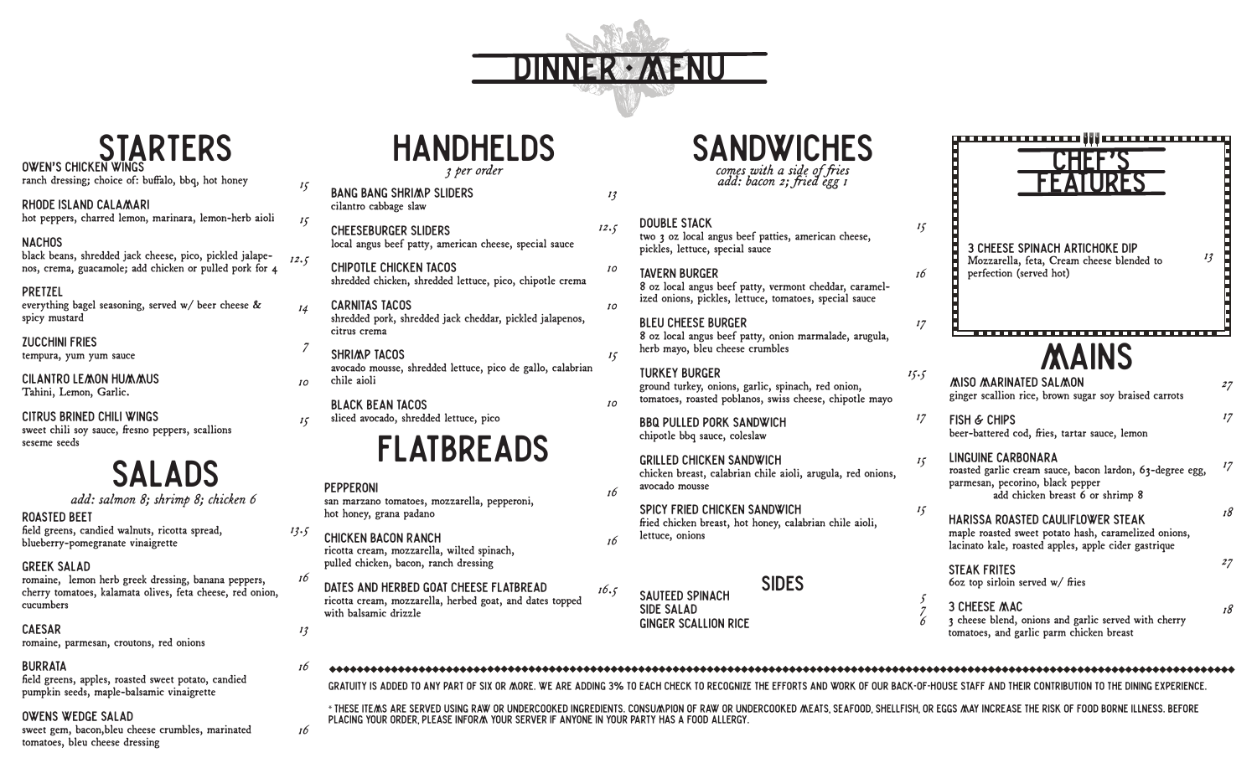

# OWEN'S CHICKEN WINGS

**OWEN'S CHICKEN WINGS 3** per order ranch dressing; choice of: buffalo, bbq, hot honey

#### RHODE ISLAND CALAMARI hot peppers, charred lemon, marinara, lemon-herb aioli

#### **NACHOS**

black beans, shredded jack cheese, pico, pickled jalapenos, crema, guacamole; add chicken or pulled pork for 4 *12.5*

#### PRETZEL

everything bagel seasoning, served w/ beer cheese & spicy mustard

#### ZUCCHINI FRIES

tempura, yum yum sauce

#### Cilantro Lemon Hummus

Tahini, Lemon, Garlic.

#### Citrus brined chili wings

sweet chili soy sauce, fresno peppers, scallions seseme seeds

## SALADS

*add: salmon 8; shrimp 8; chicken 6* 

#### ROASTED BEET

field greens, candied walnuts, ricotta spread, blueberry-pomegranate vinaigrette

#### GREEK SALAD

romaine, lemon herb greek dressing, banana peppers, cherry tomatoes, kalamata olives, feta cheese, red onion, cucumbers

#### CAESAR

romaine, parmesan, croutons, red onions

#### BURRATA

field greens, apples, roasted sweet potato, candied pumpkin seeds, maple-balsamic vinaigrette

#### Owens wedge salad

sweet gem, bacon,bleu cheese crumbles, marinated tomatoes, bleu cheese dressing

FLATBREADS PEPPERONI san marzano tomatoes, mozzarella, pepperoni, hot honey, grana padano CHICKEN BACON RANCH *16 16* BANG BANG SHRIMP SLIDERS cilantro cabbage slaw CHEESEBURGER SLIDERS local angus beef patty, american cheese, special sauce CHIPOTLE CHICKEN TACOS shredded chicken, shredded lettuce, pico, chipotle crema CARNITAS TACOS shredded pork, shredded jack cheddar, pickled jalapenos, citrus crema SHRIMP TACOS avocado mousse, shredded lettuce, pico de gallo, calabrian chile aioli BLACK BEAN TACOS sliced avocado, shredded lettuce, pico *13 12.5 10 10 15 10*

ricotta cream, mozzarella, wilted spinach, pulled chicken, bacon, ranch dressing

ricotta cream, mozzarella, herbed goat, and dates topped with balsamic drizzle

comes with a side of fries *add: bacon 2; ied egg 1*

#### DOUBLE STACK

two 3 oz local angus beef patties, american cheese, pickles, lettuce, special sauce

#### TAVERN BURGER

8 oz local angus beef patty, vermont cheddar, caramelized onions, pickles, lettuce, tomatoes, special sauce

#### BLEU CHEESE BURGER

8 oz local angus beef patty, onion marmalade, arugula, herb mayo, bleu cheese crumbles

### TURKEY BURGER

ground turkey, onions, garlic, spinach, red onion, tomatoes, roasted poblanos, swiss cheese, chipotle mayo

BBQ PULLED PORK SANDWICH chipotle bbq sauce, coleslaw

#### GRILLED CHICKEN SANDWICH chicken breast, calabrian chile aioli, arugula, red onions, avocado mousse

SPICY FRIED CHICKEN SANDWICH fried chicken breast, hot honey, calabrian chile aioli, lettuce, onions

#### SIDES SAUTEED SPINACH



#### MAINS Miso Marinated salmon

ginger scallion rice, brown sugar soy braised carrots

FISH & CHIPS beer-battered cod, fries, tartar sauce, lemon

#### LINGUINE CARBONARA roasted garlic cream sauce, bacon lardon, 63-degree egg, parmesan, pecorino, black pepper add chicken breast 6 or shrimp 8 *17 18*

HARISSA ROASTED CAULIFLOWER STEAK maple roasted sweet potato hash, caramelized onions, lacinato kale, roasted apples, apple cider gastrique

*27*

*27*

*13*

*17*

*18*

60z top sirloin served  $w/$  fries

steak frites

*5 7 6*

*15*

*16*

*17*

*15.5*

*17*

*15*

*15*

3 cheese Mac 3 cheese blend, onions and garlic served with cherry tomatoes, and garlic parm chicken breast

#### 

Ginger scallion Rice

SIDE SALAD

*16.5*

GRATUITY IS ADDED TO ANY PART OF SIX OR MORE. WE ARE ADDING 3% TO EACH CHECK TO RECOGNIZE THE EFFORTS AND WORK OF OUR BACK-OF-HOUSE STAFF AND THEIR CONTRIBUTION TO THE DINING EXPERIENCE.

\* THESE ITEMS ARE SERVED USING RAW OR UNDERCOOKED INGREDIENTS. CONSUMPION OF RAW OR UNDERCOOKED MEATS, SEAFOOD, SHELLFISH, OR EGGS MAY INCREASE THE RISK OF FOOD BORNE ILLNESS. BEFORE PLACING YOUR ORDER, PLEASE INFORM YOUR SERVER IF ANYONE IN YOUR PARTY HAS A FOOD ALLERGY.

dates and herbed goat cheese Flatbread

## *13*

*16*

*16*

*13.5*

*16*

*15*

*15*

*14*

*7*

*10*

*15*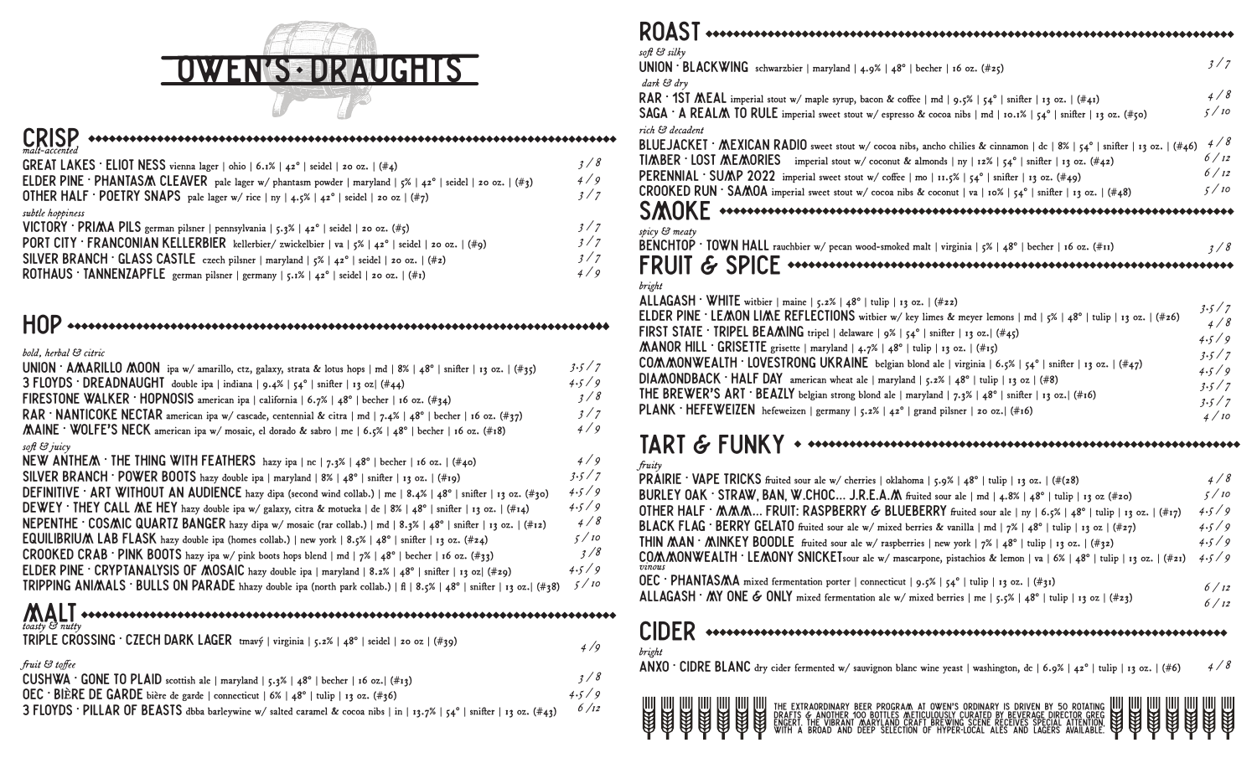

| $\text{CRISP} \xrightarrow{\text{untrivial}} \text{untrivial} \xrightarrow{\text{untrivial}} \text{untrivial} \xrightarrow{\text{untrivial}} \text{untrivial} \xrightarrow{\text{untrivial}} \text{untrivial} \xrightarrow{\text{untrivial}} \text{untrivial} \xrightarrow{\text{untrivial}} \text{untrivial} \xrightarrow{\text{untrivial}} \text{untrivial} \xrightarrow{\text{untrivial}} \text{untrivial} \xrightarrow{\text{untrivial}} \text{untrivial} \xrightarrow{\text{untrivial}} \text{untrivial} \xrightarrow{\text{untrivial}} \text{untrivial} \xrightarrow{\text{untrivial}} \text{untrivial} \xrightarrow{\text{untrivial}}$ |     |
|-----------------------------------------------------------------------------------------------------------------------------------------------------------------------------------------------------------------------------------------------------------------------------------------------------------------------------------------------------------------------------------------------------------------------------------------------------------------------------------------------------------------------------------------------------------------------------------------------------------------------------------------------|-----|
| <b>GREAT LAKES</b> $\cdot$ <b>ELIOT NESS</b> vienna lager   ohio   6.1%   42°   seidel   20 oz.   (#4)                                                                                                                                                                                                                                                                                                                                                                                                                                                                                                                                        | 3/8 |
| <b>ELDER PINE · PHANTASM CLEAVER</b> pale lager w/ phantasm powder   maryland   5%   42°   seidel   20 oz.   (#3)                                                                                                                                                                                                                                                                                                                                                                                                                                                                                                                             | 4/q |
| OTHER HALF · POETRY SNAPS pale lager w/rice   ny   4.5%   42°   seidel   20 02   (#7)                                                                                                                                                                                                                                                                                                                                                                                                                                                                                                                                                         | 3/7 |

| subtle hoppiness                                                                                       |
|--------------------------------------------------------------------------------------------------------|
| VICTORY · PRIMA PILS german pilsner   pennsylvania   5.3%   42°   seidel   20 02. (#5)                 |
| <b>PORT CITY FRANCONIAN KELLERBIER</b> kellerbier/zwickelbier   va   5%   42°   seidel   20 oz.   (#9) |
| SILVER BRANCH · GLASS CASTLE czech pilsner   maryland   $5\%$   $42^\circ$   seidel   20 0z.   (#2)    |
| <b>ROTHAUS · TANNENZAPFLE</b> german pilsner   germany   5.1%   42°   seidel   20 0z.   (#1)           |

## HOP

#### *bold, herbal & citric*

| UNION · AMARILLO MOON ipa w/ amarillo, ctz, galaxy, strata & lotus hops   md   8%   48°   snifter   13 oz.   (#35)    | 3.5/7              |
|-----------------------------------------------------------------------------------------------------------------------|--------------------|
| 3 FLOYDS · DREADNAUGHI double ipa   indiana   9.4%   54°   snifter   13 oz  (#44)                                     | 4.5/9              |
| FIRESTONE WALKER · HOPNOSIS american ipa   california   6.7%   48°   becher   16 oz. (#34)                            | 3/8                |
| RAR · NANTICOKE NECTAR american ipa w/ cascade, centennial & citra   md   7.4%   48°   becher   16 oz. (#37)          | 3/7                |
| MAINE ' WOLFE'S NECK american ipa w/ mosaic, el dorado & sabro   me   6.5%   48°   becher   16 oz. (#18)              | 4/9                |
| soft & juicy                                                                                                          |                    |
| NEW ANTHEM · THE THING WITH FEATHERS hazy ipa   nc   7.3%   48°   becher   16 oz.   (#40)                             | 4/9                |
| SILVER BRANCH · POWER BOOTS hazy double ipa   maryland   8%   48°   snifter   13 0z.   (#19)                          | 3.5/7              |
| DEFINITIVE · ART WITHOUT AN AUDIENCE hazy dipa (second wind collab.)   me   8.4%   48°   snifter   13 oz. (#30)       | 4.5/9              |
| DEWEY ' THEY CALL ME HEY hazy double ipa w/ galaxy, citra & motueka   de   8%   48°   snifter   13 oz.   (#14)        | 4.5/9              |
| NEPENTHE · COSMIC QUARTZ BANGER hazy dipa w/ mosaic (rar collab.)   md   8.3%   48°   snifter   13 0z.   (#12)        | 4/8                |
| EQUILIBRIUM LAB FLASK hazy double ipa (homes collab.)   new york   8.5%   48°   snifter   13 oz. (#24)                | 5/10               |
| CROOKED CRAB · PINK BOOTS hazy ipa w/ pink boots hops blend   md   7%   48°   becher   16 oz. (#33)                   | 3/8                |
| <b>ELDER PINE · CRYPTANALYSIS OF MOSAIC</b> hazy double ipa   maryland   8.2%   48°   snifter   13 oz  (#29)          | 4.5/9              |
| TRIPPING ANIMALS · BULLS ON PARADE hhazy double ipa (north park collab.)   fl   8.5%   48°   snifter   13 oz.   (#38) | 5/10               |
|                                                                                                                       |                    |
| $\sum_{toasty}$ $\sum_{nuity}$                                                                                        |                    |
| TRIPLE CROSSING · CZECH DARK LAGER tmavý   virginia   5.2%   48°   seidel   20 02   (#39)                             | $\frac{1}{\alpha}$ |

|                                                                                                                       | 4/9   |
|-----------------------------------------------------------------------------------------------------------------------|-------|
| fruit & toffee                                                                                                        |       |
| <b>CUSHWA</b> $\cdot$ <b>GONE TO PLAID</b> scottish ale   maryland   5.3%   48°   becher   16 oz.  (#13)              | 3/8   |
| OEC · BIÈRE DE GARDE bière de garde   connecticut   6%   48°   tulip   13 oz. (#36)                                   | 4.5/9 |
| 3 FLOYDS · PILLAR OF BEASTS dbba barleywine w/salted caramel & cocoa nibs   in   13.7%   54°   snifter   13 02. (#43) | 6/12  |

| soft & silky<br>UNION · BLACKWING schwarzbier   maryland   4.9%   48°   becher   16 oz. (#25)<br>dark & dry                                                                                                                                                                                                                                                                                                                                                                                                                                                                                                                                                                                                                                                                                                                 | 3/7                                                               |
|-----------------------------------------------------------------------------------------------------------------------------------------------------------------------------------------------------------------------------------------------------------------------------------------------------------------------------------------------------------------------------------------------------------------------------------------------------------------------------------------------------------------------------------------------------------------------------------------------------------------------------------------------------------------------------------------------------------------------------------------------------------------------------------------------------------------------------|-------------------------------------------------------------------|
| RAR $\cdot$ 1ST MEAL imperial stout w/ maple syrup, bacon & coffee   md   9.5%   54°   snifter   13 oz.   (#41)<br><b>SAGA</b> $\cdot$ <b>A</b> REALM TO RULE imperial sweet stout w/ espresso & cocoa nibs   md   10.1%   54°   snifter   13 0z. (#50)                                                                                                                                                                                                                                                                                                                                                                                                                                                                                                                                                                     | 4/8<br>5/10                                                       |
| rich & decadent<br>BLUEJACKET · MEXICAN RADIO sweet stout w/ cocoa nibs, ancho chilies & cinnamon   dc   8%   54°   snifter   13 oz.   (#46)<br><b>TIMBER · LOST MEMORIES</b> imperial stout w/ coconut & almonds   ny   12%   54°   snifter   13 oz. (#42)<br><b>PERENNIAL</b> · SUMP 2022 imperial sweet stout w/ coffee   mo   11.5%   54°   snifter   13 oz. (#49)                                                                                                                                                                                                                                                                                                                                                                                                                                                      | 4/8<br>6/12<br>6/12                                               |
| <b>CROOKED RUN</b> · SAMOA imperial sweet stout w/ cocoa nibs & coconut   va   10%   54°   snifter   13 oz.   (#48)<br>spicy & meaty                                                                                                                                                                                                                                                                                                                                                                                                                                                                                                                                                                                                                                                                                        | 5/10                                                              |
| BENCHTOP · TOWN HALL rauchbier w/ pecan wood-smoked malt   virginia   5%   48°   becher   16 oz. (#11)                                                                                                                                                                                                                                                                                                                                                                                                                                                                                                                                                                                                                                                                                                                      | 3/8                                                               |
| bright<br>ALLAGASH · WHITE witbier   maine   5.2%   48°   tulip   13 oz.   (#22)<br><b>ELDER PINE · LEMON LIME REFLECTIONS</b> witbier w/key limes & meyer lemons   md   5%   48°   tulip   13 oz.   (#26)<br><b>FIRST STATE</b> $\cdot$ <b>TRIPEL BEAMING</b> tripel   delaware   9%   54°   snifter   13 oz.   (#45)<br>MANOR HILL · GRISETTE grisette   maryland   4.7%   48°   tulip   13 oz.   (#15)<br>COMMONWEALTH · LOVESTRONG UKRAINE belgian blond ale   virginia   6.5%   54°   snifter   13 oz.   (#47)<br>DIAMONDBACK · HALF DAY american wheat ale   maryland   5.2%   48°   tulip   13 oz   (#8)<br>THE BREWER'S ART · BEAZLY belgian strong blond ale   maryland   $7.3\%$   $48^\circ$   snifter   13 oz.   (#16)<br>PLANK · HEFEWEIZEN hefeweizen   germany   5.2%   42°   grand pilsner   20 0z.   (#16) | 3.5/7<br>4/8<br>4.5/9<br>3.5/7<br>4.5/9<br>3.5/7<br>3.5/7<br>4/10 |

#### TART & FUNKY *fruity*

| <b>CIDER</b>                                                                                                               |       |
|----------------------------------------------------------------------------------------------------------------------------|-------|
| ALLAGASH · MY ONE & ONLY mixed fermentation ale w/ mixed berries   me   5.5%   48°   tulip   13 oz   (#23)                 | 6/12  |
| OEC · PHANIASMA mixed fermentation porter   connecticut   9.5%   54°   tulip   13 oz.   (#31)                              |       |
| COMMONWEALTH · LEMONY SNICKETsour ale w/ mascarpone, pistachios & lemon   va   6%   48°   tulip   13 oz.   (#21)<br>vinous | 4.5/9 |
| <b>THIN MAN</b> $\cdot$ MINKEY BOODLE fruited sour ale w/ raspberries   new york   7%   48°   tulip   13 oz.   (#32)       | 4.5/9 |
| <b>BLACK FLAG</b> · BERRY GELATO fruited sour ale w/ mixed berries & vanilla   md   $7\%$   48°   tulip   13 oz   (#27)    | 4.5/9 |
| OTHER HALF $\cdot$ MMM FRUIT: RASPBERRY & BLUEBERRY fruited sour ale   ny   6.5%   48°   tulip   13 02.   (#17)            | 4.5/9 |
| BURLEY OAK · STRAW, BAN, W.CHOC J.R.E.A.M fruited sour ale   md   4.8%   48°   tulip   13 oz (#20)                         | 5/10  |
| PRAIRIE · VAPE TRICKS fruited sour ale w/ cherries   oklahoma   5.9%   48°   tulip   13 oz.   (#(28)                       | 4/8   |
| $\mu$ uuy                                                                                                                  |       |

#### cider *bright*

ANXO • CIDRE BLANC dry cider fermented w/ sauvignon blanc wine yeast | washington, dc | 6.9% | 42° | tulip | 13 oz. | (#6) *4 / 8*

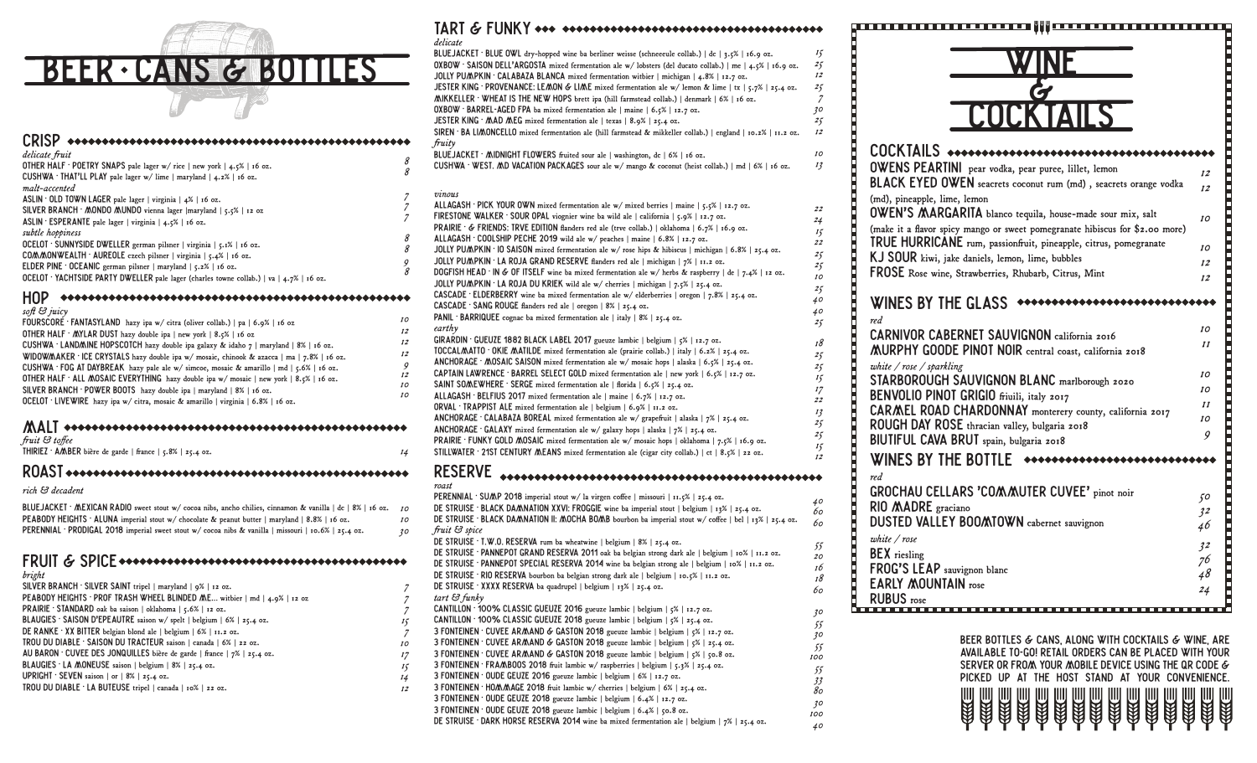

| delicate fruit<br>OTHER HALF · POETRY SNAPS pale lager w/ rice   new york   4.5%   16 oz.<br>CUSHWA · THAT'LL PLAY pale lager $w/$ lime   maryland   4.2%   16 oz.<br>malt-accented                                                                                                                                                | 8<br>8      |
|------------------------------------------------------------------------------------------------------------------------------------------------------------------------------------------------------------------------------------------------------------------------------------------------------------------------------------|-------------|
| ASLIN . OLD TOWN LAGER pale lager   virginia   $4\%$   16 oz.<br>SILVER BRANCH $\cdot$ MONDO MUNDO vienna lager [maryland $\mid$ 5.5%   12 oz<br>$ASLIN$ ESPERANTE pale lager   virginia   4.5%   16 oz.                                                                                                                           |             |
| subtle hoppiness<br>OCELOT · SUNNYSIDE DWELLER german pilsner   virginia   5.1%   16 oz.<br>COMMONWEALTH AUREOLE czech pilsner   virginia   5.4%   16 oz.<br><b>ELDER PINE</b> OCEANIC german pilsner   maryland $\vert$ 5.2%   16 oz.<br>OCELOT ' YACHISIDE PARIY DWELLER pale lager (charles towne collab.)   va   4.7%   16 oz. | 8<br>8<br>9 |
| soft & juicy                                                                                                                                                                                                                                                                                                                       |             |

*14*

| $J\psi/\iota \cup J\mu\iota\iota\gamma$                                                      |
|----------------------------------------------------------------------------------------------|
| FOURSCORE · FANTASYLAND hazy ipa w/ citra (oliver collab.)   pa   6.9%   16 oz               |
| OTHER HALF $\cdot$ MYLAR DUST hazy double ipa   new york   8.5%   16 oz                      |
| CUSHWA · LAND/MINE HOPSCOTCH hazy double ipa galaxy & idaho $7 \mid$ maryland $8\mid$ 16 oz. |
| WIDOW/AAKER · ICE CRYSTALS hazy double ipa w/ mosaic, chinook & azacca   ma   7.8%   16 oz.  |
| CUSHWA · FOG AT DAYBREAK hazy pale ale w/ simcoe, mosaic & amarillo   md   5.6%   16 oz.     |
| OTHER HALF ' ALL MOSAIC EVERYTHING hazy double ipa $w/m$ mosaic   new york   8.5%   16 oz.   |
| SILVER BRANCH · POWER BOOTS hazy double ipa   maryland   8%   16 oz.                         |
| OCELOT · LIVEWIRE hazy ipa w/ citra, mosaic & amarillo   virginia   6.8%   16 oz.            |
|                                                                                              |

#### MALT  $\overline{u}$   $\overline{u}$   $\overline{u}$   $\overline{u}$   $\overline{u}$   $\overline{u}$   $\overline{u}$   $\overline{u}$   $\overline{u}$   $\overline{u}$   $\overline{u}$   $\overline{u}$   $\overline{u}$   $\overline{u}$   $\overline{u}$   $\overline{u}$   $\overline{u}$   $\overline{u}$   $\overline{u}$   $\overline{u}$   $\overline{u}$   $\overline{u}$   $\overline{u}$   $\overline{u}$   $\overline{$

| $_{\it J}$ ruu $\infty$ to $_{\it J}$ ee |                                                           |  |
|------------------------------------------|-----------------------------------------------------------|--|
|                                          | THIRIEZ · AMBER bière de garde   france   5.8%   25.4 oz. |  |

#### ROAST

*rich & decadent*

BLUEJACKET • MEXICAN RADIO sweet stout w/ cocoa nibs, ancho chilies, cinnamon & vanilla | dc | 8% | 16 oz. *10* PEABODY HEIGHTS · ALUNA imperial stout w/ chocolate & peanut butter | maryland | 8.8% | 16 oz. PERENNIAL • PRODIGAL 2018 imperial sweet stout w/ cocoa nibs & vanilla | missouri | 10.6% | 25.4 oz. *10 30*

#### FRUIT & SPICE

*bright*

| SILVER BRANCH · SILVER SAINT tripel   maryland   9%   12 0z.               |
|----------------------------------------------------------------------------|
| PEABODY HEIGHTS · PROF TRASH WHEEL BLINDED M.E witbier   md   4.9%   12 oz |
| PRAIRIE · STANDARD oak ba saison   oklahoma   5.6%   12 oz.                |
| BLAUGIES · SAISON D'EPEAUTRE saison w/ spelt   belgium   6%   25.4 oz.     |
| DE RANKE ' XX BITTER belgian blond ale   belgium   $6\%$   11.2 oz.        |
| TROU DU DIABLE · SAISON DU TRACTEUR saison   canada   6%   22 oz.          |
| AU BARON · CUVEE DES JONQUILLES bière de garde   france   7%   25.4 oz.    |
| BLAUGIES · LA MONEUSE saison   belgium   8%   25.4 oz.                     |
| UPRIGHT $\cdot$ SEVEN saison   or   8%   25.4 oz.                          |
| TROU DU DIABLE · LA BUTEUSE tripel   canada   10%   22 0z.                 |
|                                                                            |

## TART & FIINKY <del>one</del> energy exercises and exercise exercises

*40*

| delicate                                                                                                                                                 |                |
|----------------------------------------------------------------------------------------------------------------------------------------------------------|----------------|
| BLUEJACKET · BLUE OWL dry-hopped wine ba berliner weisse (schneeeule collab.)   dc   3.5%   16.9 oz.                                                     | 15             |
| $OXBOW \cdot SAISON DELL'ARGOSTA mixed fermentation ale w/lobsters (del ducato collab.)   me   4.5%   16.9 oz.$                                          | 25             |
| JOLLY PUMPKIN · CALABAZA BLANCA mixed fermentation witbier   michigan   4.8%   12.7 oz.                                                                  | 12             |
| JESTER KING · PROVENANCE: LEMON & LIME mixed fermentation ale w/ lemon & lime   tx   5.7%   25.4 oz.                                                     | 25             |
| MIKKELLER · WHEAT IS THE NEW HOPS brett ipa (hill farmstead collab.)   denmark   6%   16 oz.                                                             | $\overline{z}$ |
| OXBOW · BARREL-AGED FPA ba mixed fermentation ale   maine   6.5%   12.7 oz.                                                                              | 30             |
| JESTER KING · MAD MEG mixed fermentation ale   texas   8.9%   25.4 oz.                                                                                   | 25             |
| SIREN ' BA LIMONCELLO mixed fermentation ale (hill farmstead & mikkeller collab.)   england   10.2%   11.2 02.                                           | 12             |
| fruity                                                                                                                                                   | 10             |
| BLUEJACKET · MIDNIGHT FLOWERS fruited sour ale   washington, dc $ 6% $ 16 oz.                                                                            |                |
| CUSHWA · WEST. AND VACATION PACKAGES sour ale $w/$ mango & coconut (heist collab.)   md   6%   16 oz.                                                    | 13             |
| vinous                                                                                                                                                   |                |
| ALLAGASH · PICK YOUR OWN mixed fermentation ale w/ mixed berries   maine   5.5%   12.7 oz.                                                               | 22             |
| <b>FIRESTONE WALKER</b> SOUR OPAL viognier wine ba wild ale   california   $5.9\%$   12.7 oz.                                                            | 24             |
| <b>PRAIRIE</b> · $\&$ FRIENDS: TRVE EDITION flanders red ale (trve collab.)   oklahoma   6.7%   16.9 oz.                                                 | 15             |
| ALLAGASH · COOLSHIP PECHE 2019 wild ale w/ peaches   maine   6.8%   12.7 oz.                                                                             | 22             |
| JOLLY PUMPKIN · IO SAISON mixed fermentation ale w/ rose hips & hibiscus   michigan   6.8%   25.4 oz.                                                    | 25             |
| JOLLY PUMPKIN · LA ROJA GRAND RESERVE flanders red ale   michigan   7%   11.2 02.                                                                        | 25             |
| DOGFISH HEAD · IN & OF ITSELF wine ba mixed fermentation ale w/ herbs & raspberry   de   7.4%   12 oz.                                                   | 10             |
| JOLLY PUMPKIN · LA ROJA DU KRIEK wild ale w/ cherries   michigan   7.5%   25.4 oz.                                                                       | 25             |
| <b>CASCADE</b> ELDERBERRY wine ba mixed fermentation ale $w/$ elderberries $\vert$ oregon $\vert$ 7.8% $\vert$ 25.4 oz.                                  | 40             |
| <b>CASCADE</b> SANG ROUGE flanders red ale   oregon   8%   25.4 oz.<br>PANIL BARRIQUEE cognac ba mixed fermentation ale   italy   8%   25.4 oz.          | 40             |
| earthy                                                                                                                                                   | 25             |
| GIRARDIN GUEUZE 1882 BLACK LABEL 2017 gueuze lambic   belgium   5%   12.7 oz.                                                                            |                |
| TOCCAL/AATTO · OKIE /AATILDE mixed fermentation ale (prairie collab.)   italy   6.2%   25.4 oz.                                                          | 18             |
| ANCHORAGE · MOSAIC SAISON mixed fermentation ale w/ mosaic hops   alaska   6.5%   25.4 oz.                                                               | 25             |
| CAPTAIN LAWRENCE · BARREL SELECT GOLD mixed fermentation ale   new york   6.5%   12.7 oz.                                                                | 25             |
| SAINT SOMEWHERE · SERGE mixed fermentation ale   florida   6.5%   25.4 oz.                                                                               | 15             |
| ALLAGASH · BELFIUS 2017 mixed fermentation ale   maine   6.7%   12.7 oz.                                                                                 | 17<br>22       |
| ORVAL · TRAPPIST ALE mixed fermentation ale   belgium $ 6.9\% 11.2$ oz.                                                                                  | 13             |
| ANCHORAGE · CALABAZA BOREAL mixed fermentation ale w/ grapefruit   alaska   7%   25.4 oz.                                                                | 25             |
| ANCHORAGE · GALAXY mixed fermentation ale w/ galaxy hops   alaska   7%   25.4 oz.                                                                        | 25             |
| PRAIRIE · FUNKY GOLD MOSAIC mixed fermentation ale w/ mosaic hops   oklahoma   7.5%   16.9 oz.                                                           | 15             |
| STILLWATER . 21ST CENTURY MEANS mixed fermentation ale (cigar city collab.)   ct   8.5%   22 oz.                                                         | 12             |
| <b>RESERVE</b>                                                                                                                                           |                |
| roast                                                                                                                                                    |                |
| PERENNIAL · SUMP 2018 imperial stout w/ la virgen coffee   missouri   11.5%   25.4 oz.                                                                   | 40             |
| DE STRUISE · BLACK DAMNATION XXVI: FROGGIE wine ba imperial stout   belgium   13%   25.4 oz.                                                             | 60             |
| DE STRUISE · BLACK DAMNATION II: MOCHA BOMB bourbon ba imperial stout w/ coffee   bel   13%   25.4 oz.                                                   | 60             |
| fruit & spice<br>DE STRUISE · T.W.O. RESERVA rum ba wheatwine   belgium   8%   25.4 oz.                                                                  |                |
| DE STRUISE · PANNEPOT GRAND RESERVA 2011 oak ba belgian strong dark ale   belgium   10%   11.2 oz.                                                       | 55             |
| DE STRUISE · PANNEPOT SPECIAL RESERVA 2014 wine ba belgian strong ale   belgium   10%   11.2 02.                                                         | 20             |
| DE STRUISE · RIO RESERVA bourbon ba belgian strong dark ale   belgium   10.5%   11.2 oz.                                                                 | 16<br>18       |
| DE STRUISE · XXXX RESERVA ba quadrupel   belgium   13%   25.4 oz.                                                                                        | 60             |
| tart & funky                                                                                                                                             |                |
| CANTILLON 100% CLASSIC GUEUZE 2016 gueuze lambic   belgium   5%   12.7 oz.                                                                               | 30             |
| CANTILLON 100% CLASSIC GUEUZE 2018 gueuze lambic   belgium   $5\%$   25.4 oz.                                                                            | 55             |
| 3 FONTEINEN · CUVEE ARMAND & GASTON 2018 gueuze lambic   belgium   5%   12.7 oz.                                                                         | 30             |
| 3 FONTEINEN · CUVEE ARMAND & GASTON 2018 gueuze lambic   belgium   5%   25.4 oz.                                                                         | 55             |
| 3 FONTEINEN · CUVEE ARMAND & GASTON 2018 gueuze lambic   belgium   5%   50.8 oz.                                                                         | 100            |
| 3 FONTEINEN · FRAMBOOS 2018 fruit lambic w/ raspberries   belgium   5.3%   25.4 oz.                                                                      | 55             |
| 3 FONTEINEN OUDE GEUZE 2016 gueuze lambic   belgium   6%   12.7 oz.                                                                                      | 33             |
| 3 FONTEINEN · HO/A/AAGE 2018 fruit lambic w/ cherries   belgium   6%   25.4 oz.<br>3 FONTEINEN OUDE GEUZE 2018 gueuze lambic   belgium   6.4%   12.7 oz. | 80             |
| 3 FONTEINEN · OUDE GEUZE 2018 gueuze lambic   belgium   6.4%   50.8 oz.                                                                                  | 30             |
|                                                                                                                                                          | 100            |

3 FONTEINEN • OUDE GEUZE 2018 gueuze lambic | belgium | 6.4% | 50.8 oz. DE STRUISE · DARK HORSE RESERVA 2014 wine ba mixed fermentation ale | belgium |  $7\%$  | 25.4 oz.



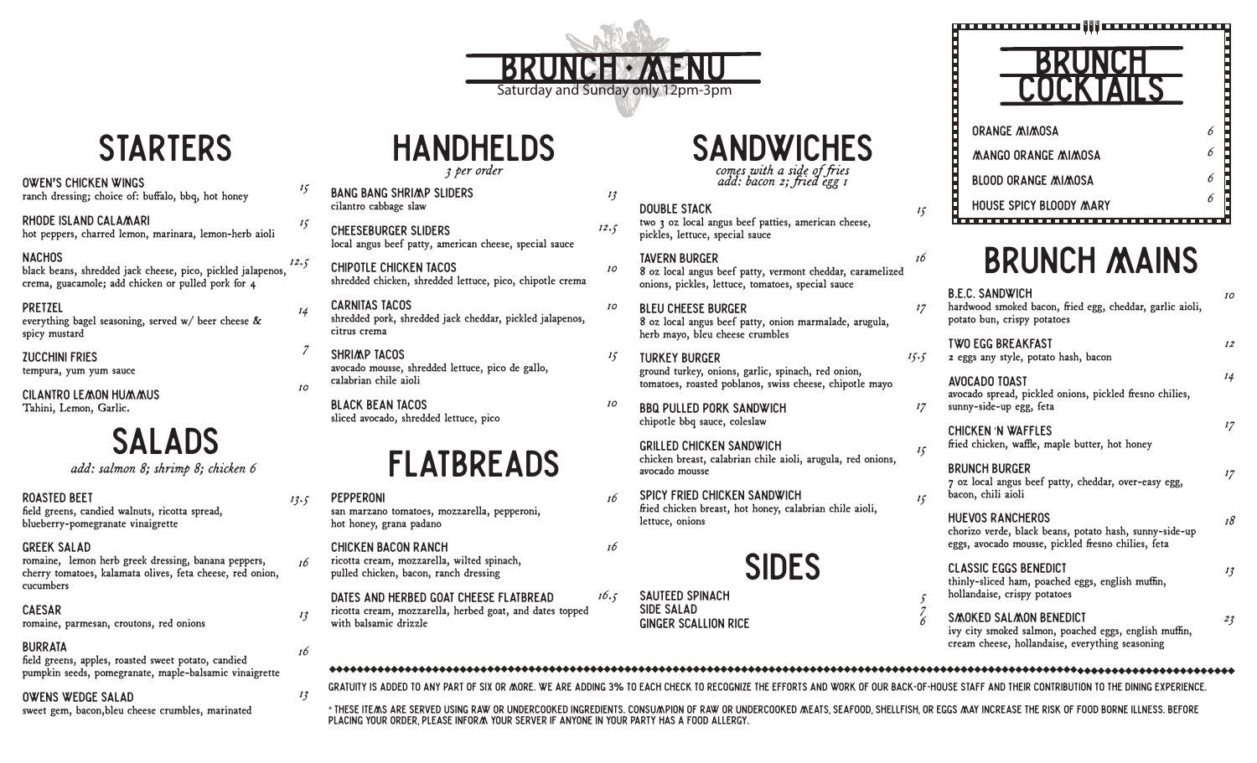# **BRUNCH MENU**<br>Saturday and Sunday only 12pm-3pm

*13*

*15*

## **SANDWICHES**

comes with a side of fries *add: bacon 2; ied egg 1*

#### DOUBLE STACK two 3 oz local angus beef patties, american cheese, pickles, lettuce, special sauce

TAVERN BURGER 8 oz local angus beef patty, vermont cheddar, caramelized onions, pickles, lettuce, tomatoes, special sauce

- BLEU CHEESE BURGER 8 oz local angus beef patty, onion marmalade, arugula, herb mayo, bleu cheese crumbles
- tURKEY BURGER ground turkey, onions, garlic, spinach, red onion, tomatoes, roasted poblanos, swiss cheese, chipotle mayo *15.5*
- *10* BBQ PULLED PORK SANDWICH chipotle bbq sauce, coleslaw

#### GRILLED CHICKEN SANDWICH chicken breast, calabrian chile aioli, arugula, red onions, avocado mousse

- *16* SPICY FRIED CHICKEN SANDWICH fried chicken breast, hot honey, calabrian chile aioli, lettuce, onions
- 

# SIDES

SAUTEED SPINACH SIDE SALAD Ginger scallion Rice

*16*

*16.5*

### BRUNCH COCKTAILS *15* Orange MIMOSA MANGO ORANGE MIMOSA BLOOD ORANGE MIMOSA HOUSE SPICY BLOoDY MARY

# BRUNCH MAINS

| B.E.C. SANDWICH<br>hardwood smoked bacon, fried egg, cheddar, garlic aioli,<br>potato bun, crispy potatoes                              | 10 |
|-----------------------------------------------------------------------------------------------------------------------------------------|----|
| TWO EGG BREAKFAST<br>z eggs any style, potato hash, bacon                                                                               | 12 |
| AVOCADO TOAST<br>avocado spread, pickled onions, pickled fresno chilies,<br>sunny-side-up egg, feta                                     | 14 |
| CHICKEN 'N WAFFLES<br>fried chicken, waffle, maple butter, hot honey                                                                    | 17 |
| BRUNCH BURGER<br>7 oz local angus beef patty, cheddar, over-easy egg,<br>bacon, chili aioli                                             | 17 |
| <b>HUEVOS RANCHEROS</b><br>chorizo verde, black beans, potato hash, sunny-side-up<br>eggs, avocado mousse, pickled fresno chilies, feta | 18 |
| CLASSIC EGGS BENEDICT<br>thinly-sliced ham, poached eggs, english muffin,<br>hollandaise, crispy potatoes                               | 13 |
| SMOKED SALMON BENEDICT<br>ivy city smoked salmon, poached eggs, english muffin,<br>cream cheese, hollandaise, everything seasoning      | 23 |
|                                                                                                                                         |    |

## **STARTERS**

#### OWEN'S CHICKEN WINGs

ranch dressing; choice of: buffalo, bbq, hot honey

RHODE ISLAND CALAMARI hot peppers, charred lemon, marinara, lemon-herb aioli

#### **NACHOS**

black beans, shredded jack cheese, pico, pickled jalapenos, crema, guacamole; add chicken or pulled pork for 4

pRETZEL everything bagel seasoning, served w/ beer cheese & spicy mustard

ZUCCHINI FRIES tempura, yum yum sauce

Cilantro Lemon Hummus Tahini, Lemon, Garlic.

# SALADS

*add: salmon 8; shrimp 8; chicken 6* 

ROASTED BEET

field greens, candied walnuts, ricotta spread, blueberry-pomegranate vinaigrette

#### GREEK SALAD

romaine, lemon herb greek dressing, banana peppers, cherry tomatoes, kalamata olives, feta cheese, red onion, cucumbers

**CAESAR** romaine, parmesan, croutons, red onions

#### BURRATA

field greens, apples, roasted sweet potato, candied pumpkin seeds, pomegranate, maple-balsamic vinaigrette

#### Owens wedge salad

sweet gem, bacon,bleu cheese crumbles, marinated

#### HANDHELDS *3 per order*

cilantro cabbage slaw CHEESEBURGER SLIDERS local angus beef patty, american cheese, special sauce CHIPOTLE CHICKEN TACOS shredded chicken, shredded lettuce, pico, chipotle crema CARNITAS TACOS shredded pork, shredded jack cheddar, pickled jalapenos, citrus crema *12.5 10 10*

SHRIMP TACOS avocado mousse, shredded lettuce, pico de gallo, calabrian chile aioli

BLACK BEAN TACOS sliced avocado, shredded lettuce, pico

BANG BANG SHRIMP SLIDERS

# FLATBREADS

hot honey, grana padano

ricotta cream, mozzarella, wilted spinach, pulled chicken, bacon, ranch dressing

ricotta cream, mozzarella, herbed goat, and dates topped with balsamic drizzle

#### B.E.C. SANDWICH hardwood smoked bacon, fried egg, cheddar, garlic aioli, potato bun, crispy potatoes *10 12 16 17*

#### 2 eggs any style, potato hash, bacon

AV avocado spread, pickled onions, pickled fresno chilies, sunny-side-up egg, feta

**BR** 7 oz local angus beef patty, cheddar, over-easy egg, bacon, chili aioli

*6 6*

*6 6*

#### SMOKED SALMON BENEDICT

*5 7 6*

*17*

*15*

*15*

GRATUITY IS ADDED TO ANY PART OF SIX OR MORE. WE ARE ADDING 3% TO EACH CHECK TO RECOGNIZE THE EFFORTS AND WORK OF OUR BACK-OF-HOUSE STAFF AND THEIR CONTRIBUTION TO THE DINING EXPERIENCE.

\* THESE ITEMS ARE SERVED USING RAW OR UNDERCOOKED INGREDIENTS. CONSUMPION OF RAW OR UNDERCOOKED MEATS, SEAFOOD, SHELLFISH, OR EGGS MAY INCREASE THE RISK OF FOOD BORNE ILLNESS. BEFORE PLACING YOUR ORDER, PLEASE INFORM YOUR SERVER IF ANYONE IN YOUR PARTY HAS A FOOD ALLERGY.

## PEPPERONI *13.5*

san marzano tomatoes, mozzarella, pepperoni,

CHICKEN BACON RANCH



*13*

*16*

*13*

*15*

*15*

*12.5*

*14*

*7*

*10*

*16*

dates and herbed goat cheese Flatbread